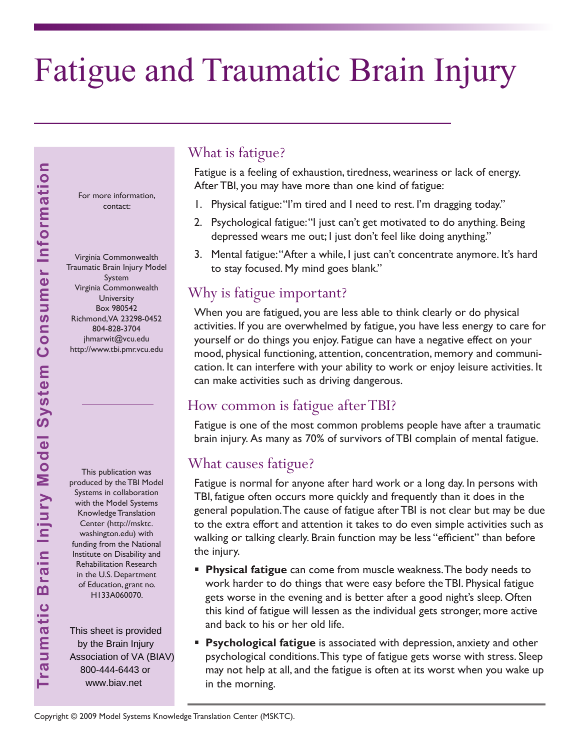# Fatigue and Traumatic Brain Injury

Traumatic Brain Injury Model System Consumer Information **Traumatic Brain Injury Model System Consumer Information**

For more information, contact:

Virginia Commonwealth Traumatic Brain Injury Model System Virginia Commonwealth **University** Box 980542 Richmond, VA 23298-0452 804-828-3704 jhmarwit@vcu.edu http://www.tbi.pmr.vcu.edu

This publication was produced by the TBI Model Systems in collaboration with the Model Systems Knowledge Translation Center (http://msktc. washington.edu) with funding from the National Institute on Disability and Rehabilitation Research in the U.S. Department of Education, grant no. H133A060070.

This sheet is provided by the Brain Injury Association of VA (BIAV) 800-444-6443 or www.biav.net

#### What is fatigue?

Fatigue is a feeling of exhaustion, tiredness, weariness or lack of energy. After TBI, you may have more than one kind of fatigue:

- 1. Physical fatigue: "I'm tired and I need to rest. I'm dragging today."
- 2. Psychological fatigue: "I just can't get motivated to do anything. Being depressed wears me out; I just don't feel like doing anything."
- 3. Mental fatigue: "After a while, I just can't concentrate anymore. It's hard to stay focused. My mind goes blank."

#### Why is fatigue important?

When you are fatigued, you are less able to think clearly or do physical activities. If you are overwhelmed by fatigue, you have less energy to care for yourself or do things you enjoy. Fatigue can have a negative effect on your mood, physical functioning, attention, concentration, memory and communication. It can interfere with your ability to work or enjoy leisure activities. It can make activities such as driving dangerous.

## How common is fatigue after TBI?

Fatigue is one of the most common problems people have after a traumatic brain injury. As many as 70% of survivors of TBI complain of mental fatigue.

## What causes fatigue?

Fatigue is normal for anyone after hard work or a long day. In persons with TBI, fatigue often occurs more quickly and frequently than it does in the general population. The cause of fatigue after TBI is not clear but may be due to the extra effort and attention it takes to do even simple activities such as walking or talking clearly. Brain function may be less "efficient" than before the injury.

- **Physical fatigue** can come from muscle weakness. The body needs to work harder to do things that were easy before the TBI. Physical fatigue gets worse in the evening and is better after a good night's sleep. Often this kind of fatigue will lessen as the individual gets stronger, more active and back to his or her old life.
- **Psychological fatigue** is associated with depression, anxiety and other psychological conditions. This type of fatigue gets worse with stress. Sleep may not help at all, and the fatigue is often at its worst when you wake up in the morning.